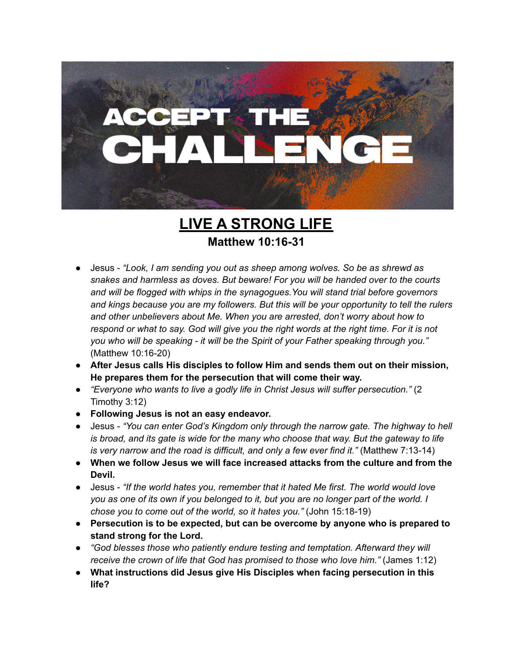

**LIVE A STRONG LIFE Matthew 10:16-31**

- **●** Jesus *"Look, I am sending you out as sheep among wolves. So be as shrewd as snakes and harmless as doves. But beware! For you will be handed over to the courts and will be flogged with whips in the synagogues.You will stand trial before governors and kings because you are my followers. But this will be your opportunity to tell the rulers and other unbelievers about Me. When you are arrested, don't worry about how to* respond or what to say. God will give you the right words at the right time. For it is not *you who will be speaking - it will be the Spirit of your Father speaking through you."* (Matthew 10:16-20)
- **● After Jesus calls His disciples to follow Him and sends them out on their mission, He prepares them for the persecution that will come their way.**
- *"Everyone who wants to live a godly life in Christ Jesus will suffer persecution."* (2 Timothy 3:12)
- **● Following Jesus is not an easy endeavor.**
- Jesus *"You can enter God's Kingdom only through the narrow gate. The highway to hell is broad, and its gate is wide for the many who choose that way. But the gateway to life is very narrow and the road is difficult, and only a few ever find it."* (Matthew 7:13-14)
- **● When we follow Jesus we will face increased attacks from the culture and from the Devil.**
- Jesus *"If the world hates you, remember that it hated Me first. The world would love* you as one of its own if you belonged to it, but you are no longer part of the world. I *chose you to come out of the world, so it hates you."* (John 15:18-19)
- **● Persecution is to be expected, but can be overcome by anyone who is prepared to stand strong for the Lord.**
- **●** *"God blesses those who patiently endure testing and temptation. Afterward they will receive the crown of life that God has promised to those who love him."* (James 1:12)
- **● What instructions did Jesus give His Disciples when facing persecution in this life?**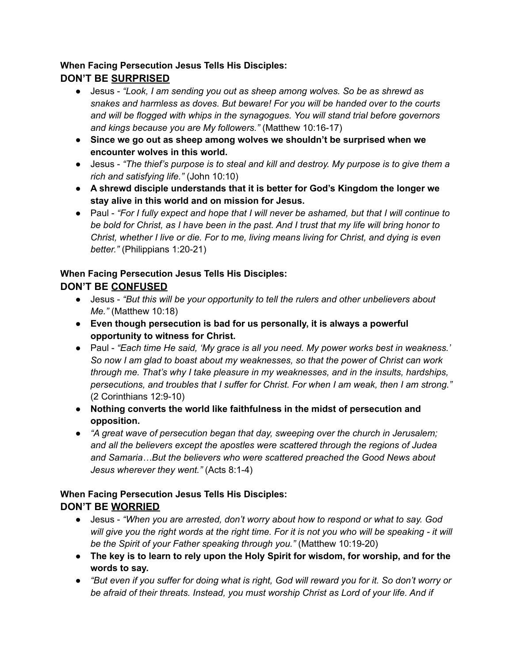## **When Facing Persecution Jesus Tells His Disciples: DON'T BE SURPRISED**

- Jesus *"Look, I am sending you out as sheep among wolves. So be as shrewd as snakes and harmless as doves. But beware! For you will be handed over to the courts and will be flogged with whips in the synagogues. You will stand trial before governors and kings because you are My followers."* (Matthew 10:16-17)
- **● Since we go out as sheep among wolves we shouldn't be surprised when we encounter wolves in this world.**
- Jesus *"The thief's purpose is to steal and kill and destroy. My purpose is to give them a rich and satisfying life."* (John 10:10)
- **● A shrewd disciple understands that it is better for God's Kingdom the longer we stay alive in this world and on mission for Jesus.**
- Paul *"For I fully expect and hope that I will never be ashamed, but that I will continue to* be bold for Christ, as I have been in the past. And I trust that my life will bring honor to *Christ, whether I live or die. For to me, living means living for Christ, and dying is even better."* (Philippians 1:20-21)

# **When Facing Persecution Jesus Tells His Disciples:**

## **DON'T BE CONFUSED**

- Jesus *"But this will be your opportunity to tell the rulers and other unbelievers about Me."* (Matthew 10:18)
- **● Even though persecution is bad for us personally, it is always a powerful opportunity to witness for Christ.**
- *●* Paul *"Each time He said, 'My grace is all you need. My power works best in weakness.' So now I am glad to boast about my weaknesses, so that the power of Christ can work through me. That's why I take pleasure in my weaknesses, and in the insults, hardships, persecutions, and troubles that I suffer for Christ. For when I am weak, then I am strong."* (2 Corinthians 12:9-10)
- **● Nothing converts the world like faithfulness in the midst of persecution and opposition.**
- *"A great wave of persecution began that day, sweeping over the church in Jerusalem; and all the believers except the apostles were scattered through the regions of Judea and Samaria…But the believers who were scattered preached the Good News about Jesus wherever they went."* (Acts 8:1-4)

#### **When Facing Persecution Jesus Tells His Disciples: DON'T BE WORRIED**

- Jesus *"When you are arrested, don't worry about how to respond or what to say. God* will give you the right words at the right time. For it is not you who will be speaking - it will *be the Spirit of your Father speaking through you."* (Matthew 10:19-20)
- **● The key is to learn to rely upon the Holy Spirit for wisdom, for worship, and for the words to say.**
- "But even if you suffer for doing what is right, God will reward you for it. So don't worry or *be afraid of their threats. Instead, you must worship Christ as Lord of your life. And if*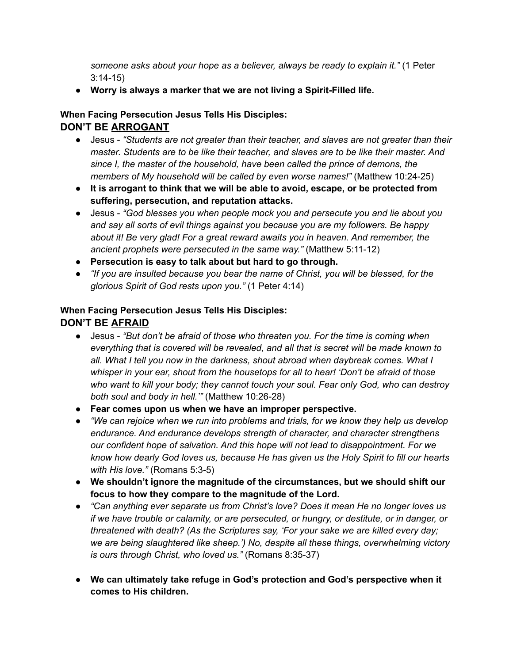*someone asks about your hope as a believer, always be ready to explain it."* (1 Peter 3:14-15)

**● Worry is always a marker that we are not living a Spirit-Filled life.**

### **When Facing Persecution Jesus Tells His Disciples:**

## **DON'T BE ARROGANT**

- Jesus *"Students are not greater than their teacher, and slaves are not greater than their master. Students are to be like their teacher, and slaves are to be like their master. And since I, the master of the household, have been called the prince of demons, the members of My household will be called by even worse names!"* (Matthew 10:24-25)
- **● It is arrogant to think that we will be able to avoid, escape, or be protected from suffering, persecution, and reputation attacks.**
- Jesus *"God blesses you when people mock you and persecute you and lie about you and say all sorts of evil things against you because you are my followers. Be happy about it! Be very glad! For a great reward awaits you in heaven. And remember, the ancient prophets were persecuted in the same way."* (Matthew 5:11-12)
- **● Persecution is easy to talk about but hard to go through.**
- *"If you are insulted because you bear the name of Christ, you will be blessed, for the glorious Spirit of God rests upon you."* (1 Peter 4:14)

## **When Facing Persecution Jesus Tells His Disciples: DON'T BE AFRAID**

- *●* Jesus *"But don't be afraid of those who threaten you. For the time is coming when everything that is covered will be revealed, and all that is secret will be made known to all. What I tell you now in the darkness, shout abroad when daybreak comes. What I whisper in your ear, shout from the housetops for all to hear! 'Don't be afraid of those who want to kill your body; they cannot touch your soul. Fear only God, who can destroy both soul and body in hell.'"* (Matthew 10:26-28)
- **● Fear comes upon us when we have an improper perspective.**
- *"We can rejoice when we run into problems and trials, for we know they help us develop endurance. And endurance develops strength of character, and character strengthens our confident hope of salvation. And this hope will not lead to disappointment. For we know how dearly God loves us, because He has given us the Holy Spirit to fill our hearts with His love."* (Romans 5:3-5)
- **● We shouldn't ignore the magnitude of the circumstances, but we should shift our focus to how they compare to the magnitude of the Lord.**
- **●** *"Can anything ever separate us from Christ's love? Does it mean He no longer loves us if we have trouble or calamity, or are persecuted, or hungry, or destitute, or in danger, or threatened with death? (As the Scriptures say, 'For your sake we are killed every day; we are being slaughtered like sheep.') No, despite all these things, overwhelming victory is ours through Christ, who loved us."* (Romans 8:35-37)
- **● We can ultimately take refuge in God's protection and God's perspective when it comes to His children.**